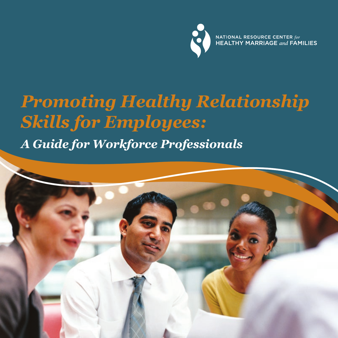NATIONAL RESOURCE CENTER  $for$  HEALTHY MARRIAGE and FAMILIES

# *Promoting Healthy Relationship Skills for Employees: A Guide for Workforce Professionals*

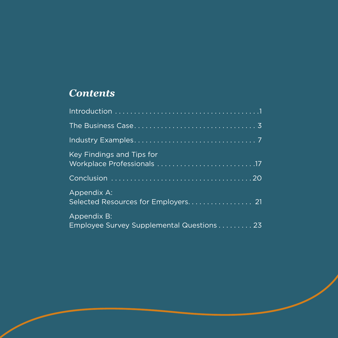## *Contents*

| <b>Key Findings and Tips for</b>                         |
|----------------------------------------------------------|
|                                                          |
| Appendix A:                                              |
| Appendix B:<br>Employee Survey Supplemental Questions 23 |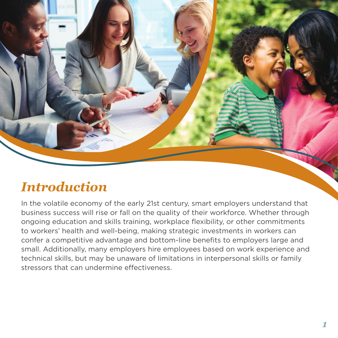<span id="page-2-0"></span>

# *Introduction*

In the volatile economy of the early 21st century, smart employers understand that. business success will rise or fall on the quality of their workforce. Whether through. ongoing education and skills training, workplace flexibility, or other commitments. to.workers' health and well-being, making strategic investments in workers can. confer a competitive advantage and bottom-line benefits to employers large and. small. Additionally, many employers hire employees based on work experience and. technical skills, but may be unaware of limitations in interpersonal skills or family stressors. that can undermine effectiveness.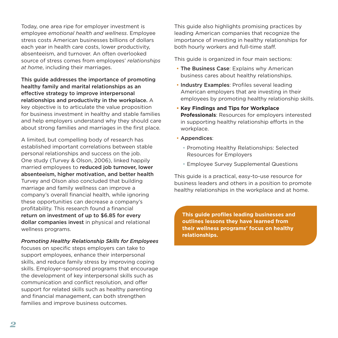Today, one area ripe for employer investment is. employee *emotional health and wellness*. Employee stress costs American businesses billions of dollars. each year in health care costs, lower productivity, absenteeism, and turnover. An often overlooked source of stress comes from employees' *relationships at home,* including their marriages.

This guide addresses the importance of promoting healthy family and marital relationships as an effective strategy to improve interpersonal relationships and productivity in the workplace. A. key objective is to articulate the value proposition. for business investment in healthy and stable families. and help employers understand why they should care. about strong families and marriages in the first place.

A limited, but compelling body of research has. established important correlations between stable. personal relationships and success on the job. One study (Turvey & Olson, 2006), linked happily. married employees to reduced job turnover, lower absenteeism, higher motivation, and better health. Turvey and Olson also concluded that building. marriage and family wellness can improve a company's overall financial health, while ignoring. these opportunities can decrease a company's. profitability. This research found a financial. return on investment of up to \$6.85 for every dollar companies invest in physical and relational wellness programs.

#### *Promoting Healthy Relationship Skills for Employees*

focuses on specific steps employers can take to. support employees, enhance their interpersonal. skills, and reduce family stress by improving coping. skills. Employer-sponsored programs that encourage the development of key interpersonal skills such as. communication and conflict resolution, and offer. support for related skills such as healthy parenting. and financial management, can both strengthen. families and improve business outcomes.

This guide also highlights promising practices by. leading American companies that recognize the. importance of investing in healthy relationships for. both hourly workers and full-time staff.

This quide is organized in four main sections:

- The Business Case: Explains why American. business cares about healthy relationships.
- Industry Examples: Profiles several leading. American employers that are investing in their. employees by promoting healthy relationship skills.
- **Key Findings and Tips for Workplace Professionals: Resources for employers interested.** in supporting healthy relationship efforts in the. workplace.
- Appendices:
	- Promoting Healthy Relationships: Selected. Resources for Employers
	- Employee Survey Supplemental Questions

This quide is a practical, easy-to-use resource for. business leaders and others in a position to promote. healthy relationships in the workplace and at home.

 **This guide profiles leading businesses and outlines lessons they have learned from their wellness programs' focus on healthy relationships.**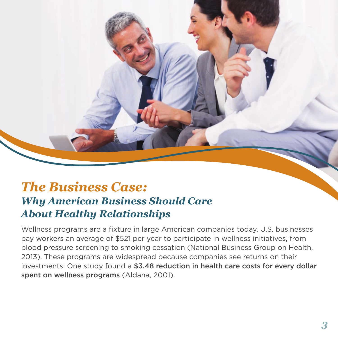# <span id="page-4-0"></span>*The Business Case: Why American Business Should Care About Healthy Relationships*

Wellness programs are a fixture in large American companies today. U.S. businesses. pay workers an average of \$521 per year to participate in wellness initiatives, from. blood pressure screening to smoking cessation (National Business Group on Health, 2013). These programs are widespread because companies see returns on their. investments: One study found a \$3.48 reduction in health care costs for every dollar spent on wellness programs (Aldana, 2001).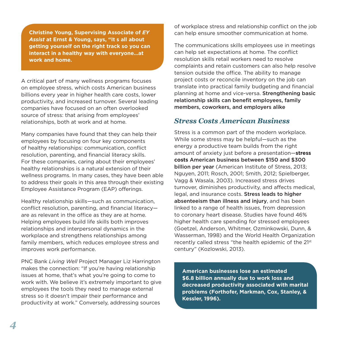**Christine Young, Supervising Associate of** *EY*  Assist at Ernst & Young, says, "It s all about **getting yourself on the right track so you can interact in a healthy way with everyone…at work and home. "**

A critical part of many wellness programs focuses. on employee stress, which costs American business. billions every year in higher health care costs, lower. productivity, and increased turnover. Several leading companies.have.focused.on.an.often.overlooked. source of stress: that arising from employees' relationships, both at work and at home.

Many companies have found that they can help their. employees by focusing on four key components. of healthy relationships: communication, conflict. resolution, parenting, and financial literacy skills. For these companies, caring about their employees' healthy relationships is a natural extension of their. wellness programs. In many cases, they have been able. to address their goals in this area through their existing. Employee Assistance Program (EAP) offerings.

Healthy relationship skills—such as communication, conflict resolution, parenting, and financial literacyare as relevant in the office as they are at home. Helping employees build life skills both improves. relationships and interpersonal dynamics in the. workplace and strengthens relationships among. family members, which reduces employee stress and improves work performance.

PNC.Bank.*Living Well*.Project.Manager.Liz.Harrington. makes the connection: "If you're having relationship. issues at home, that's what you're going to come to. work with. We believe it's extremely important to give. employees the tools they need to manage external. stress so it doesn't impair their performance and. productivity at work." Conversely, addressing sources.

of workplace stress and relationship conflict on the job. can help ensure smoother communication at home.

The communications skills employees use in meetings. can help set expectations at home. The conflict resolution skills retail workers need to resolve. complaints and retain customers can also help resolve. tension outside the office. The ability to manage. project costs or reconcile inventory on the job can. translate into practical family budgeting and financial. planning at home and vice-versa. Strengthening basic relationship skills can benefit employees, family members, coworkers, and employers alike

## *Stress Costs American Business*

Stress is a common part of the modern workplace. While some stress may be helpful-such as the. energy a productive team builds from the right. amount of anxiety just before a presentation—**stress costs** American business between \$150 and \$300 billion per year (American Institute of Stress, 2013; Nguyen, 2011; Rosch, 2001; Smith, 2012; Spielberger, Vagg & Wasala, 2003). Increased stress drives. turnover, diminishes productivity, and affects medical, legal, and insurance costs. Stress leads to higher absenteeism than illness and injury, and has been. linked to a range of health issues, from depression. to coronary heart disease. Studies have found 46% higher.health.care.spending.for.stressed.employees. (Goetzel, Anderson, Whitmer, Ozminkowski, Dunn, & Wasserman, 1998) and the World Health Organization. recently called stress "the health epidemic of the 21st century" (Kozlowski, 2013).

**American businesses lose an estimated \$6.8 billion annually due to work loss and decreased productivity associated with marital problems (Forthofer, Markman, Cox, Stanley, & Kessler, 1996).**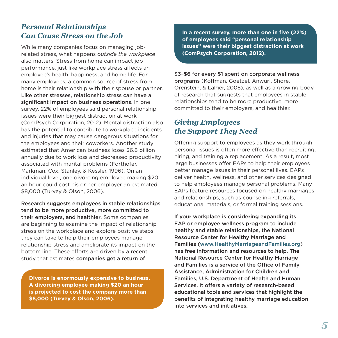## *Personal Relationships Can Cause Stress on the Job*

While many companies focus on managing jobrelated stress, what happens outside the workplace also matters. Stress from home can impact job. performance, just like workplace stress affects an. employee's health, happiness, and home life. For. many employees, a common source of stress from. home is their relationship with their spouse or partner. Like other stresses, relationship stress can have a significant impact on business operations. In one survey, 22% of employees said personal relationship. issues were their biggest distraction at work. (ComPsych Corporation, 2012). Mental distraction also. has the potential to contribute to workplace incidents. and injuries that may cause dangerous situations for. the employees and their coworkers. Another study. estimated that American business loses \$6.8 billion. annually due to work loss and decreased productivity. associated with marital problems (Forthofer, Markman, Cox, Stanley, & Kessler, 1996). On an. individual level, one divorcing employee making \$20. an hour could cost his or her employer an estimated. \$8,000 (Turvey & Olson, 2006).

Research suggests employees in stable relationships tend to be more productive, more committed to their employers, and healthier. Some companies are beginning to examine the impact of relationship. stress on the workplace and explore positive steps. they can take to help their employees manage. relationship stress and ameliorate its impact on the. bottom.line. These efforts are driven by a recent. study that estimates companies get a return of

**Divorce is enormously expensive to business. A divorcing employee making \$20 an hour is projected to cost the company more than \$8,000 (Turvey & Olson, 2006).** 

**In a recent survey, more than one in five (22%) of employees said "personal relationship issues" were their biggest distraction at work (ComPsych Corporation, 2012).** 

#### \$3–\$6 for every \$1 spent on corporate wellness

programs (Koffman, Goetzel, Anwuri, Shore, Orenstein, & LaPier, 2005), as well as a growing body. of research that suggests that employees in stable. relationships tend to be more productive, more. committed to their employers, and healthier.

## *Giving Employees the Support They Need*

Offering support to employees as they work through. personal issues is often more effective than recruiting. hiring, and training a replacement. As a result, most. large businesses offer EAPs to help their employees. better manage issues in their personal lives. EAPs. deliver health, wellness, and other services designed. to help employees manage personal problems. Many. EAPs feature resources focused on healthy marriages. and relationships, such as counseling referrals, educational materials, or formal training sessions.

If your workplace is considering expanding its EAP or employee wellness program to include healthy and stable relationships, the National Resource Center for Healthy Marriage and Families ([www.HealthyMarriageandFamilies.org](http://www.HealthyMarriageandFamilies.org)) has free information and resources to help. The National Resource Center for Healthy Marriage and Families is a service of the Office of Family Assistance, Administration for Children and Families, U.S. Department of Health and Human Services. It offers a variety of research-based educational tools and services that highlight the benefits of integrating healthy marriage education into services and initiatives.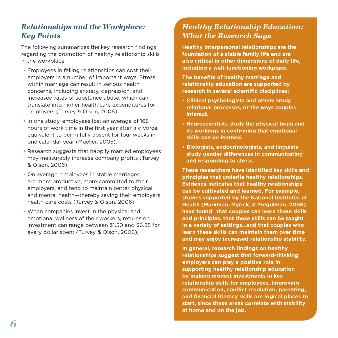## *Relationships and the Workplace: Key Points*

The following summarizes the key research findings. regarding the promotion of healthy relationship skills. in the workplace:

- Employees in failing relationships can cost their employers in a number of important ways. Stress. within marriage can result in serious health. concerns, including anxiety, depression, and increased rates of substance abuse, which can. translate into higher health care expenditures for. employers (Turvey & Olson, 2006).
- In one study, employees lost an average of 168 hours of work time in the first year after a divorce, equivalent to being fully absent for four weeks in. one calendar year (Mueller, 2005).
- Research suggests that happily married employees. may measurably increase company profits (Turvey. & Olson, 2006).
- On average, employees in stable marriages. are more productive, more committed to their. employers, and tend to maintain better physical. and mental health—thereby saving their employers. health care costs (Turvey & Olson, 2006).
- When companies invest in the physical and emotional wellness of their workers, returns on. investment can range between \$1.50 and \$6.85 for every dollar spent (Turvey & Olson, 2006).

## *Healthy Relationship Education: What the Research Says*

**Healthy interpersonal relationships are the foundation of a stable family life and are also critical in other dimensions of daily life, including a well-functioning workplace.** 

**The benefits of healthy marriage and relationship education are supported by research in several scientific disciplines:** 

- **Clinical psychologists and others study relational processes, or the ways couples interact.**
- **Neuroscientists study the physical brain and its workings in confirming that emotional skills can be learned.**
- **Biologists, endocrinologists, and linguists study gender differences in communicating and responding to stress.**

**These researchers have identified key skills and principles that underlie healthy relationships. Evidence indicates that healthy relationships can be cultivated and learned. For example, studies supported by the National Institutes of Health (Markman, Myrick, & Pregulman, 2006)**  have found that couples can learn these skills **and principles, that these skills can be taught in a variety of settings…and that couples who learn these skills can maintain them over time and may enjoy increased relationship stability. "**

In general, research findings on healthy In general, research findings on healthy<br>relationships suggest that forward-thinking  **employers can play a positive role in supporting healthy relationship education**  by making modest investments in key by making modest investments in key<br>relationship skills for employees. Improving  **communication, conflict resolution, parenting, and financial literacy skills are logical places to**  start, since these areas correlate with stability<br>at home and on the job. at home and on the job.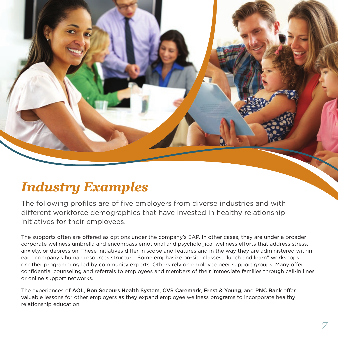<span id="page-8-0"></span>

# *Industry Examples*

The following profiles are of five employers from diverse industries and with. different workforce demographics that have invested in healthy relationship. initiatives for their employees.

The supports often are offered as options under the company's EAP. In other cases, they are under a broader corporate wellness umbrella and encompass emotional and psychological wellness efforts that address stress, anxiety, or depression. These initiatives differ in scope and features and in the way they are administered within each.company's.human.resources.structure. Some.emphasize.on-site.classes,."lunch.and.learn".workshops, or. other.programming.led.by.community.experts. Others.rely.on.employee.peer.support.groups. Many.offer. confidential counseling and referrals to employees and members of their immediate families through call-in lines or online support networks.

The experiences of AOL, Bon Secours Health System, CVS Caremark, Ernst & Young, and PNC Bank offer valuable lessons for other employers as they expand employee wellness programs to incorporate healthy. relationship education.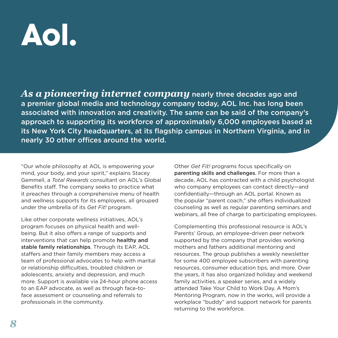# Aol.

*As a pioneering internet company* nearly three decades ago and a premier global media and technology company today, AOL Inc. has long been associated with innovation and creativity. The same can be said of the company's approach to supporting its workforce of approximately 6,000 employees based at its New York City headquarters, at its flagship campus in Northern Virginia, and in nearly 30 other offices around the world.

"Our whole philosophy at AOL is empowering your. mind, your body, and your spirit," explains Stacey. Gemmell,.a.*Total Rewards*.consultant.on.AOL's.Global. Benefits staff. The company seeks to practice what it preaches through a comprehensive menu of health. and wellness supports for its employees, all grouped. under the umbrella of its Get Fit! program.

Like other corporate wellness initiatives, AOL's. program focuses on physical health and wellbeing. But it also offers a range of supports and. interventions that can help promote healthy and stable family relationships. Through its EAP, AOL staffers and their family members may access a. team of professional advocates to help with marital. or relationship difficulties, troubled children or adolescents, anxiety and depression, and much. more. Support is available via 24-hour phone access. to an EAP advocate, as well as through face-toface assessment or counseling and referrals to professionals in the community.

Other *Get Fit!* programs focus specifically on. parenting skills and challenges. For more than a decade, AOL has contracted with a child psychologist. who company employees can contact directly—and confidentially—through an AOL portal. Known as the popular "parent coach," she offers individualized. counseling as well as regular parenting seminars and. webinars, all free of charge to participating employees.

Complementing this professional resource is AOL's. Parents' Group, an employee-driven peer network. supported by the company that provides working. mothers and fathers additional mentoring and. resources. The group publishes a weekly newsletter. for some 400 employee subscribers with parenting. resources, consumer education tips, and more. Over. the years, it has also organized holiday and weekend. family activities, a speaker series, and a widely attended Take Your Child to Work Day. A Mom's Mentoring Program, now in the works, will provide a workplace "buddy" and support network for parents. returning to the workforce.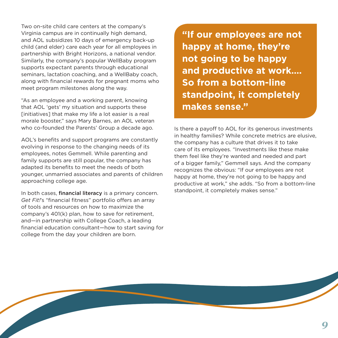Two on-site child care centers at the company's. Virginia campus are in continually high demand, and AOL subsidizes 10 days of emergency back-up. child (and elder) care each year for all employees in. partnership.with.Bright Horizons, a national vendor. Similarly, the company's popular WellBaby program. supports expectant parents through educational. seminars, lactation coaching, and a WellBaby coach, along with financial rewards for pregnant moms who. meet program milestones along the way.

"As an employee and a working parent, knowing. that AOL 'gets' my situation and supports these. [initiatives] that make my life a lot easier is a real. morale booster," says Mary Barnes, an AOL veteran. who co-founded the Parents' Group a decade ago.

AOL's benefits and support programs are constantly. evolving in response to the changing needs of its. employees, notes Gemmell. While parenting and. family supports are still popular, the company has. adapted its benefits to meet the needs of both. younger, unmarried associates and parents of children. approaching college age.

In both cases, financial literacy is a primary concern. Get Fit!'s "financial fitness" portfolio offers an array. of tools and resources on how to maximize the. company's 401(k) plan, how to save for retirement. and—in.partnership.with.College.Coach, a leading. financial education consultant—how to start saving for. college from the day your children are born.

**"If our employees are not happy at home, they're not going to be happy and productive at work…. So from a bottom-line standpoint, it completely makes sense."** 

Is there a payoff to AOL for its generous investments. in healthy families? While concrete metrics are elusive. the company has a culture that drives it to take. care of its employees. "Investments like these make. them feel like they're wanted and needed and part. of a bigger family," Gemmell says. And the company. recognizes the obvious: "If our employees are not. happy at home, they're not going to be happy and productive at work," she adds. "So from a bottom-line standpoint, it completely makes sense."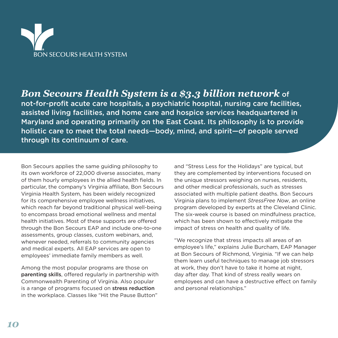

## *Bon Secours Health System is a \$3.3 billion network* of

not-for-profit acute care hospitals, a psychiatric hospital, nursing care facilities, assisted living facilities, and home care and hospice services headquartered in Maryland and operating primarily on the East Coast. Its philosophy is to provide holistic care to meet the total needs—body, mind, and spirit—of people served through its continuum of care.

Bon Secours applies the same guiding philosophy to. its own workforce of 22,000 diverse associates, many of them hourly employees in the allied health fields. In particular, the company's Virginia affiliate, Bon Secours. Virginia Health System, has been widely recognized. for its comprehensive employee wellness initiatives, which reach far beyond traditional physical well-being. to encompass broad emotional wellness and mental. health initiatives. Most of these supports are offered. through the Bon Secours EAP and include one-to-one. assessments, group classes, custom webinars, and, whenever needed, referrals to community agencies. and medical experts. All EAP services are open to. employees' immediate family members as well.

Among the most popular programs are those on. parenting skills, offered regularly in partnership with. Commonwealth Parenting of Virginia. Also popular is a range of programs focused on **stress reduction**. in the workplace. Classes like "Hit the Pause Button".

and "Stress Less for the Holidays" are typical, but. they are complemented by interventions focused on. the unique stressors weighing on nurses, residents, and other medical professionals, such as stresses. associated with multiple patient deaths. Bon Secours Virginia plans to implement *StressFree Now*, an online. program developed by experts at the Cleveland Clinic. The six-week course is based on mindfulness practice, which has been shown to effectively mitigate the. impact of stress on health and quality of life.

"We recognize that stress impacts all areas of an. employee's life," explains Julie Burcham, EAP Manager at. Bon. Secours of Richmond, Virginia. "If we can help. them learn useful techniques to manage job stressors. at work, they don't have to take it home at night, day after day. That kind of stress really wears on. employees and can have a destructive effect on family. and personal relationships."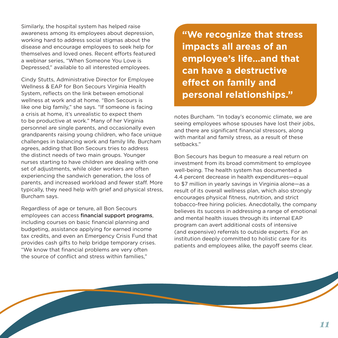Similarly, the hospital system has helped raise. awareness among its employees about depression, working hard to address social stigmas about the disease and encourage employees to seek help for. themselves and loved ones. Recent efforts featured. a webinar series, "When Someone You Love is Depressed," available to all interested employees.

Cindy Stutts, Administrative Director for Employee. Wellness & EAP for Bon Secours Virginia Health. System, reflects on the link between emotional. wellness at work and at home. "Bon Secours is. like one big family," she says. "If someone is facing. a crisis at home, it's unrealistic to expect them. to be productive at work." Many of her Virginia. personnel are single parents, and occasionally even. grandparents raising young children, who face unique challenges in balancing work and family life. Burcham agrees, adding that Bon Secours tries to address. the distinct needs of two main groups. Younger nurses starting to have children are dealing with one. set of adjustments, while older workers are often. experiencing the sandwich generation, the loss of parents, and increased workload and fewer staff. More. typically, they need help with grief and physical stress, Burcham says.

Regardless of age or tenure, all Bon Secours. employees can access financial support programs, including courses on basic financial planning and budgeting, assistance applying for earned income. tax credits, and even an Emergency Crisis Fund that. provides cash gifts to help bridge temporary crises. "We know that financial problems are very often. the source of conflict and stress within families."

 **"We recognize that stress impacts all areas of an impacts all areas of an employee's life…and that can have a destructive effect on family and personal relationships."** 

notes Burcham. "In today's economic climate, we are seeing employees whose spouses have lost their jobs, and there are significant financial stressors, along with marital and family stress, as a result of these. setbacks ."

Bon. Secours has begun to measure a real return on. investment from its broad commitment to employee. well-being. The health system has documented a. 4.4 percent decrease in health expenditures—equal to \$7 million in yearly savings in Virginia alone—as a. result of its overall wellness plan, which also strongly. encourages physical fitness, nutrition, and strict. tobacco-free hiring policies. Anecdotally, the company. believes its success in addressing a range of emotional. and mental health issues through its internal EAP program.can.avert.additional.costs.of.intensive. (and expensive) referrals to outside experts. For an. institution deeply committed to holistic care for its. patients and employees alike, the payoff seems clear.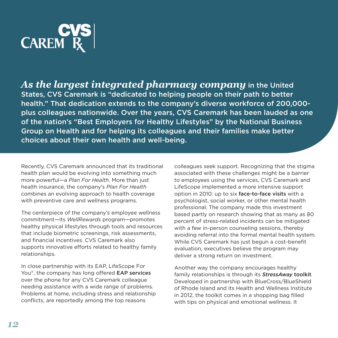

*As the largest integrated pharmacy company* in the United States, CVS Caremark is "dedicated to helping people on their path to better health." That dedication extends to the company's diverse workforce of 200,000 plus colleagues nationwide. Over the years, CVS Caremark has been lauded as one of the nation's "Best Employers for Healthy Lifestyles" by the National Business Group on Health and for helping its colleagues and their families make better choices about their own health and well-being.

Recently, CVS Caremark announced that its traditional. health plan would be evolving into something much. more powerful—a Plan For Health. More than just. health insurance, the company's *Plan For Health*. combines an evolving approach to health coverage. with preventive care and wellness programs.

The centerpiece of the company's employee wellness. commitment—its.*WellRewards*.program—promotes. healthy physical lifestyles through tools and resources. that include biometric screenings, risk assessments, and financial incentives. CVS Caremark also. supports innovative efforts related to healthy family. relationships.

In close partnership with its EAP, LifeScope For. You®, the company has long offered **EAP services**. over the phone for any CVS Caremark colleague. needing assistance with a wide range of problems. Problems at home, including stress and relationship. conflicts, are reportedly among the top reasons.

colleagues seek support. Recognizing that the stigma. associated with these challenges might be a barrier. to employees using the services, CVS Caremark and LifeScope implemented a more intensive support. option in 2010: up to six face-to-face visits with a psychologist, social worker, or other mental health. professional. The company made this investment. based partly on research showing that as many as 80. percent of stress-related incidents can be mitigated. with a few in-person counseling sessions, thereby. avoiding referral into the formal mental health system. While.CVS Caremark has just begun a cost-benefit. evaluation, executives believe the program may. deliver a strong return on investment.

Another way the company encourages healthy. family relationships is through its **StressAway toolkit** Developed in partnership with BlueCross/BlueShield. of.Rhode.Island.and.its.Health.and.Wellness.Institute. in. 2012, the toolkit comes in a shopping bag filled. with tips on physical and emotional wellness. It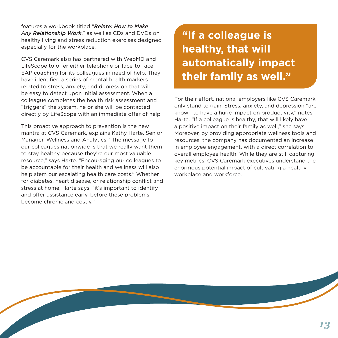features.a.workbook.titled."*Relate: How to Make*  Any Relationship Work," as well as CDs and DVDs on. healthy living and stress reduction exercises designed. especially for the workplace.

CVS Caremark also has partnered with WebMD and. LifeScope to offer either telephone or face-to-face EAP coaching for its colleagues in need of help. They. have identified a series of mental health markers. related to stress, anxiety, and depression that will be easy to detect upon initial assessment. When a colleague.completes the health risk assessment and. "triggers" the system, he or she will be contacted. directly by LifeScope with an immediate offer of help.

This proactive approach to prevention is the new. mantra at CVS Caremark, explains Kathy Harte, Senior. Manager, Wellness and Analytics. "The message to. our colleagues nationwide is that we really want them. to stay healthy because they're our most valuable. resource," says Harte. "Encouraging our colleagues to be accountable for their health and wellness will also. help stem our escalating health care costs." Whether for diabetes, heart disease, or relationship conflict and. stress at home, Harte says, "it's important to identify. and offer assistance early, before these problems. become chronic and costly."

 **"If a colleague is healthy, that will automatically impact their family as well."**

For their effort, national employers like CVS Caremark only stand to gain. Stress, anxiety, and depression "are. known to have a huge impact on productivity," notes. Harte. "If a colleague is healthy, that will likely have a positive impact on their family as well," she says. Moreover, by providing appropriate wellness tools and. resources, the company has documented an increase. in employee engagement, with a direct correlation to. overall employee health. While they are still capturing. key.metrics, CVS Caremark executives understand the. enormous potential impact of cultivating a healthy. workplace and workforce.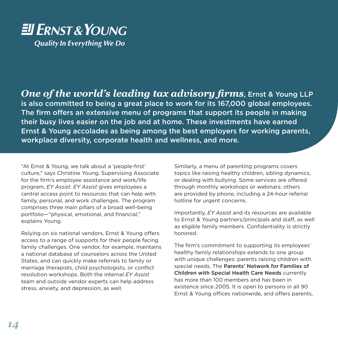# EU ERNST & YOUNG **Quality In Everything We Do**

*One of the world's leading tax advisory firms*, Ernst & Young LLP is also committed to being a great place to work for its 167,000 global employees. The firm offers an extensive menu of programs that support its people in making their busy lives easier on the job and at home. These investments have earned Ernst & Young accolades as being among the best employers for working parents, workplace diversity, corporate health and wellness, and more.

"At Ernst & Young, we talk about a 'people-first'. culture," says Christine Young, Supervising Associate. for the firm's employee assistance and work/life. program, *EY Assist. EY Assist* gives employees a. central access point to resources that can help with. family, personal, and work challenges. The program comprises three main pillars of a broad well-being. portfolio—"physical, emotional, and financial," explains Young.

Relying on six national vendors, Ernst & Young offers. access to a range of supports for their people facing. family challenges. One vendor, for example, maintains. a national database of counselors across the United. States, and can quickly make referrals to family or. marriage therapists, child psychologists, or conflict. resolution workshops. Both the internal *EY Assist*. team and outside vendor experts can help address. stress, anxiety, and depression, as well.

Similarly, a menu of parenting programs covers. topics. like raising healthy children, sibling dynamics, or dealing with bullying. Some services are offered. through monthly workshops or webinars; others. are provided by phone, including a 24-hour referral. hotline for urgent concerns.

Importantly, *EY Assist* and its resources are available. to Ernst & Young partners/principals and staff, as well. as eligible family members. Confidentiality is strictly. honored .

The firm's commitment to supporting its employees'. healthy family relationships extends to one group. with unique challenges: parents raising children with. special needs. The Parents' Network for Families of Children with Special Health Care Needs currently. has more than 100 members and has been in existence since 2005. It is open to persons in all 90 Ernst & Young offices nationwide, and offers parents,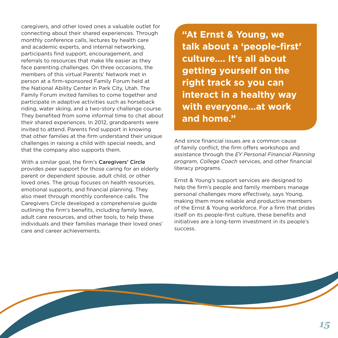caregivers, and other loved ones a valuable outlet for. connecting about their shared experiences. Through. monthly conference calls, lectures by health care. and academic experts, and internal networking, participants find support, encouragement, and. referrals to resources that make life easier as they. face parenting challenges. On three occasions, the. members of this virtual Parents' Network met in. person at a firm-sponsored Family Forum held at the National Ability Center in Park City, Utah. The. Family Forum invited families to come together and participate in adaptive activities such as horseback. riding, water skiing, and a two-story challenge course. They benefited from some informal time to chat about. their shared experiences. In 2012, grandparents were. invited to attend. Parents find support in knowing. that other families at the firm understand their unique. challenges in raising a child with special needs, and. that the company also supports them.

With a similar goal, the firm's Caregivers' Circle. provides peer support for those caring for an elderly. parent or dependent spouse, adult child, or other loved ones. The group focuses on health resources, emotional supports, and financial planning. They. also meet through monthly conference calls. The Caregivers.Circle.developed a comprehensive guide. outlining the firm's benefits, including family leave, adult care resources, and other tools, to help these. individuals and their families manage their loved ones' care and career achievements.

**"At Ernst & Young, we talk about a 'people-first' culture…. It's all about getting yourself on the right track so you can interact in a healthy way with everyone…at work and home."** 

And since financial issues are a common cause. of family conflict, the firm offers workshops and. assistance.through.the.*EY Personal Financial Planning program, College Coach* services, and other financial. literacy programs.

Ernst & Young's support services are designed to. help the firm's people and family members manage. personal challenges more effectively, says Young, making them more reliable and productive members. of the Ernst & Young workforce. For a firm that prides. itself on its people-first culture, these benefits and initiatives are a long-term investment in its people's. success ..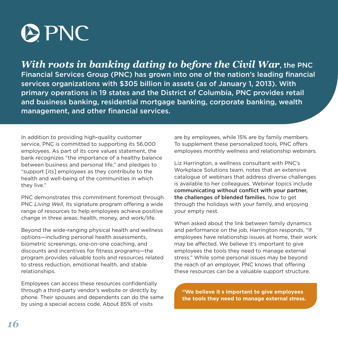

*With roots in banking dating to before the Civil War*, the PNC Financial Services Group (PNC) has grown into one of the nation's leading financial services organizations with \$305 billion in assets (as of January 1, 2013). With primary operations in 19 states and the District of Columbia, PNC provides retail and business banking, residential mortgage banking, corporate banking, wealth management, and other financial services.

In addition to providing high-quality customer. service, PNC is committed to supporting its 56,000. employees. As part of its core values statement, the bank recognizes "the importance of a healthy balance. between business and personal life," and pledges to. "support [its] employees as they contribute to the. health and well-being of the communities in which. they live."

PNC demonstrates this commitment foremost through. PNC *Living Well*, its signature program offering a wide. range of resources to help employees achieve positive. change in three areas: health, money, and work/life.

Beyond the wide-ranging physical health and wellness. options—including personal health assessments, biometric screenings, one-on-one coaching, and discounts and incentives for fitness programs—the. program provides valuable tools and resources related. to stress reduction, emotional health, and stable relationships.

Employees can access these resources confidentially. through a third-party vendor's website or directly by. phone. Their spouses and dependents can do the same. by using a special access code. About 85% of visits.

are by employees, while 15% are by family members. To supplement these personalized tools, PNC offers. employees monthly wellness and relationship webinars.

Liz. Harrington, a wellness consultant with PNC's. Workplace Solutions team, notes that an extensive. catalogue of webinars that address diverse challenges. is available to her colleagues. Webinar topics include. communicating without conflict with your partner, the challenges of blended families, how to get. through the holidays with your family, and enjoying. your empty nest.

When asked about the link between family dynamics. and performance on the job, Harrington responds, "If employees have relationship issues at home, their work. may be affected. We believe it's important to give. employees the tools they need to manage external. stress." While some personal issues may be beyond. the reach of an employer, PNC knows that offering. these resources can be a valuable support structure.

**" the tools they need to manage external stress. "We believe it s important to give employees**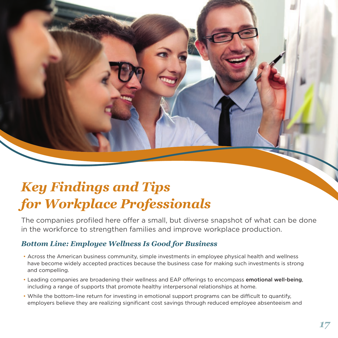# <span id="page-18-0"></span>*Key Findings and Tips for Workplace Professionals*

The companies profiled here offer a small, but diverse snapshot of what can be done. in the workforce to strengthen families and improve workplace production.

## *Bottom Line: Employee Wellness Is Good for Business*

- Across the American business community, simple investments in employee physical health and wellness. have.become.widely.accepted.practices.because.the.business.case.for.making.such.investments.is.strong. and compelling.
- Leading companies are broadening their wellness and EAP offerings to encompass emotional well-being, including a range of supports that promote healthy interpersonal relationships at home.
- While the bottom-line return for investing in emotional support programs can be difficult to quantify, employers. believe. they are realizing significant cost savings through reduced employee absenteeism and.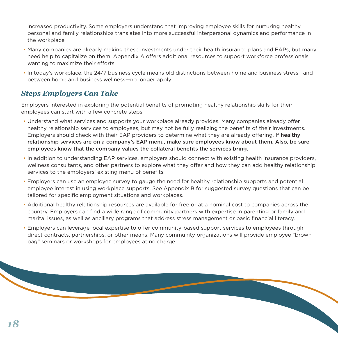increased.productivity. Some employers understand that improving employee skills for nurturing healthy. personal and family relationships translates into more successful interpersonal dynamics and performance in. the workplace.

- Many companies are already making these investments under their health insurance plans and EAPs, but many. need help to capitalize on them. Appendix A offers additional resources to support workforce professionals. wanting to maximize their efforts.
- In today's workplace, the 24/7 business cycle means old distinctions between home and business stress—and. between home and business wellness—no longer apply.

## *Steps Employers Can Take*

Employers interested in exploring the potential benefits of promoting healthy relationship skills for their. employees can start with a few concrete steps.

- Understand what services and supports your workplace already provides. Many companies already offer healthy relationship services to employees, but may not be fully realizing the benefits of their investments. Employers should check with their EAP providers to determine what they are already offering. If healthy relationship services are on a company's EAP menu, make sure employees know about them. Also, be sure employees know that the company values the collateral benefits the services bring**.**
- In addition to understanding EAP services, employers should connect with existing health insurance providers, wellness consultants, and other partners to explore what they offer and how they can add healthy relationship. services to the employers' existing menu of benefits.
- Employers can use an employee survey to gauge the need for healthy relationship supports and potential. employee interest in using workplace supports. See Appendix B for suggested survey questions that can be tailored for specific employment situations and workplaces.
- Additional healthy relationship resources are available for free or at a nominal cost to companies across the country. Employers can. find a wide range of community partners with expertise in parenting or family and. marital issues, as well as ancillary programs that address stress management or basic financial literacy.
- Employers can. leverage. local. expertise to offer.community-based.support.services.to.employees.through. direct contracts, partnerships, or other means. Many community organizations will provide employee "brown. bag" seminars or workshops for employees at no charge.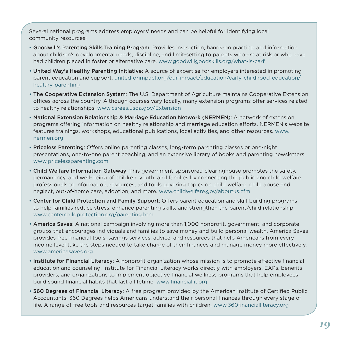Several national programs address employers' needs and can be helpful for identifying local. community resources:

- Goodwill's Parenting Skills Training Program: Provides instruction, hands-on practice, and information. about.children's developmental needs, discipline, and limit-setting to parents who are at risk or who have. had children placed in foster or alternative care. www.goodwillgoodskills.org/what-is-carf
- United Way's Healthy Parenting Initiative: A source of expertise for employers interested in promoting. parent education and support. unitedforimpact.org/our-impact/education/early-childhood-education/ healthy-parenting
- The Cooperative Extension System: The U.S. Department of Agriculture maintains Cooperative Extension. offices across the country. Although courses vary locally, many extension programs offer services related. to healthy relationships. www.csrees.usda.gov/Extension
- National Extension Relationship & Marriage Education Network (NERMEN): A network of extension. programs offering information on healthy relationship and marriage education efforts. NERMEN's website. features trainings, workshops, educational publications, local activities, and other resources. www. nermen .org
- Priceless Parenting: Offers online parenting classes, long-term parenting classes or one-night. presentations, one-to-one parent coaching, and an extensive library of books and parenting newsletters. [www .pricelessparenting .com](http://www.pricelessparenting.com)
- Child Welfare Information Gateway: This government-sponsored clearinghouse promotes the safety, permanency, and well-being of children, youth, and families by connecting the public and child welfare. professionals. to. information, resources, and tools covering topics on child welfare, child abuse and. neglect, out-of-home care, adoption, and more. www.childwelfare.gov/aboutus.cfm
- Center for Child Protection and Family Support: Offers parent education and skill-building programs. to.help.families.reduce.stress, enhance parenting skills, and strengthen the parent/child relationship. [www .centerchildprotection .org/parenting .htm](http://www.centerchildprotection.org/parenting.htm)
- America Saves: A national campaign involving more than 1,000 nonprofit, government, and corporate. groups. that. encourages. individuals and families to save money and build personal wealth. America Saves. provides. free. financial tools, savings services, advice, and resources that help. Americans from every. income. level take the steps needed to take charge of their finances and manage money more effectively. www.americasaves.org
- Institute for Financial Literacy: A nonprofit organization whose mission is to promote effective financial. education and counseling. Institute for Financial Literacy works directly with employers, EAPs, benefits. providers, and organizations to implement objective financial wellness programs that help employees. build sound financial habits that last a lifetime. www.financiallit.org
- . 360 Degrees of Financial Literacy: A free program provided by the American Institute of Certified Public Accountants, 360 Degrees helps. Americans understand their personal finances through every stage of life. A range of free tools and resources target families with children. www .360financialliteracy .org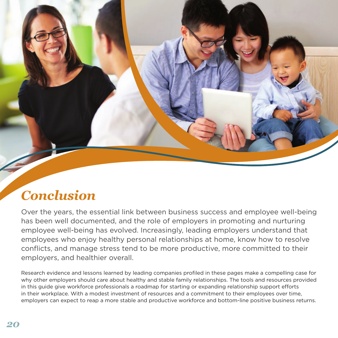# <span id="page-21-0"></span>*Conclusion*

Over the years, the essential link between business success and employee well-being. has been well documented, and the role of employers in promoting and nurturing. employee well-being has evolved. Increasingly, leading employers understand that. employees who enjoy healthy personal relationships at home, know how to resolve. conflicts, and manage stress tend to be more productive, more committed to their. employers, and healthier overall.

Research evidence and lessons learned by leading companies profiled in these pages make a compelling case for. why.other.employers.should.care.about.healthy.and.stable.family.relationships. The tools.and.resources.provided. in.this.quide.give.workforce.professionals.a.roadmap.for.starting.or.expanding.relationship.support.efforts.in in.their.workplace. With a modest investment of resources and a commitment to their employees over time, employers.can.expect.to.reap.a.more.stable.and.productive.workforce.and.bottom-line.positive.business.returns.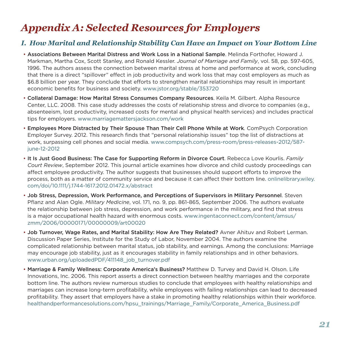# <span id="page-22-0"></span>*Appendix A: Selected Resources for Employers*

## *I. How Marital and Relationship Stability Can Have an Impact on Your Bottom Line*

- Associations Between Marital Distress and Work Loss in a National Sample. Melinda Forthofer, Howard J. Markman, Martha Cox, Scott Stanley, and Ronald Kessler. Journal of Marriage and Family, vol. 58, pp. 597-605, 1996. The authors assess the connection between marital stress at home and performance at work, concluding that there is a direct "spillover" effect in job productivity and work loss that may cost employers as much as \$6.8 billion per year. They conclude that efforts to strengthen marital relationships may result in important. economic.benefits.for.business.and.society.www.jstor.org/stable/353720
- Collateral Damage: How Marital Stress Consumes Company Resources. Keila M. Gilbert. Alpha Resource. Center, LLC, 2008. This case study addresses the costs of relationship stress and divorce to companies (e.g., absenteeism, lost productivity, increased costs for mental and physical health services) and includes practical tips for employers. www.marriagemattersjackson.com/work
- Employees More Distracted by Their Spouse Than Their Cell Phone While at Work. ComPsych Corporation Employer Survey. 2012. This research finds that "personal relationship issues" top the list of distractions at work, surpassing cell phones and social media. www.compsych.com/press-room/press-releases-2012/587june-12-2012
- It Is Just Good Business: The Case for Supporting Reform in Divorce Court. Rebecca Love Kourlis. *Family Court Review*, September 2012. This journal article examines how divorce and child custody proceedings can. affect employee productivity. The author suggests that businesses should support efforts to improve the. process, both as a matter of community service and because it can affect their bottom line. onlinelibrary wiley. com/doi/10 .1111/j .1744-1617 .2012 .01472 .x/abstract
- Job Stress, Depression, Work Performance, and Perceptions of Supervisors in Military Personnel. Steven. Pflanz and Alan Ogle. *Military Medicine*, vol. 171, no. 9, pp. 861-865, September 2006. The authors evaluate the relationship.between.job.stress, depression, and work performance in the military, and find that stress. is a major occupational health hazard with enormous costs. www.ingentaconnect.com/content/amsus/ zmm/2006/00000171/00000009/art00020
- Job Turnover, Wage Rates, and Marital Stability: How Are They Related? Avner Ahituv and Robert Lerman. Discussion Paper Series, Institute for the Study of Labor, November 2004. The authors examine the complicated relationship between marital status, job stability, and earnings. Among the conclusions: Marriage. may encourage job stability, just as it encourages stability in family relationships and in other behaviors. www.urban.org/uploadedPDF/411148\_job\_turnover.pdf
- Marriage & Family Wellness: Corporate America's Business? Matthew D. Turvey and David H. Olson. Life. Innovations, Inc. 2006. This report asserts a direct connection between healthy marriages and the corporate. bottom.line. The authors review numerous studies to conclude that employees with healthy relationships and. marriages.can.increase.long-term.profitability, while employees with failing relationships.can.lead.to.decreased. profitability. They assert that employers have a stake in promoting healthy relationships within their workforce. healthandperformancesolutions.com/hpsu\_trainings/Marriage\_Family/Corporate\_America\_Business.pdf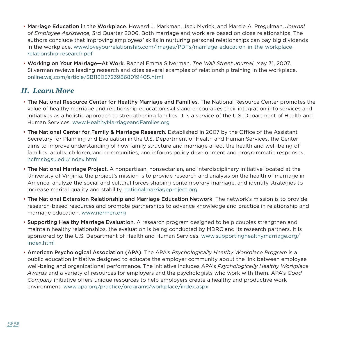- Marriage Education in the Workplace. Howard J. Markman, Jack Myrick, and Marcie A. Pregulman. *Journal* of Employee Assistance, 3rd Quarter 2006. Both marriage and work are based on close relationships. The. authors.conclude.that.improving.employees' skills.in.nurturing.personal.relationships.can.pay.big.dividends. in.the.workplace.www.loveyourrelationship.com/Images/PDFs/marriage-education-in-the-workplacerelationship-research .pdf
- Working on Your Marriage—At Work. Rachel Emma Silverman. The Wall Street Journal, May 31, 2007. Silverman reviews.leading.research.and.cites.several.examples.of.relationship.training.in.the.workplace. [online .wsj .com/article/SB118057239868019405 .html](http://online.wsj.com/article/SB118057239868019405.html)

### *II. Learn More*

- The National Resource Center for Healthy Marriage and Families. The National Resource Center promotes the. value of healthy marriage and relationship education skills and encourages their integration into services and initiatives as a holistic approach to strengthening families. It is a service of the U.S. Department of Health and Human Services. www.HealthyMarriageandFamlies.org
- The National Center for Family & Marriage Research. Established in 2007 by the Office of the Assistant Secretary for Planning and Evaluation in the U.S. Department of Health and Human Services, the Center. aims to improve understanding of how family structure and marriage affect the health and well-being of families, adults, children, and communities, and informs policy development and programmatic responses. [ncfmr .bgsu .edu/index .html](http://ncfmr.bgsu.edu/index.html)
- The National Marriage Project. A nonpartisan, nonsectarian, and interdisciplinary initiative located at the University of Virginia, the project's mission is to provide research and analysis on the health of marriage in America, analyze the social and cultural forces shaping contemporary marriage, and identify strategies to. increase marital quality and stability .nationalmarriageproject.org
- The National Extension Relationship and Marriage Education Network. The network's mission is to provide. research-based resources and promote partnerships to advance knowledge and practice in relationship and. marriage education, www.nermen.org
- Supporting Healthy Marriage Evaluation. A research program designed to help couples strengthen and. maintain.healthy relationships, the evaluation is being conducted by MDRC and its research partners. It is. sponsored by the U.S. Department of Health and Human Services. www supportinghealthymarriage .org/ index .html
- American Psychological Association (APA). The APA's Psychologically Healthy Workplace Program is a. public education initiative designed to educate the employer community about the link between employee. well-being and organizational performance. The initiative includes APA's Psychologically Healthy Workplace *Awards*.and.a.variety.of.resources.for.employers.and.the.psychologists.who.work.with.them ..APA's.*Good Company* initiative offers unique resources to help employers create a healthy and productive work. environment. www.apa.org/practice/programs/workplace/index.aspx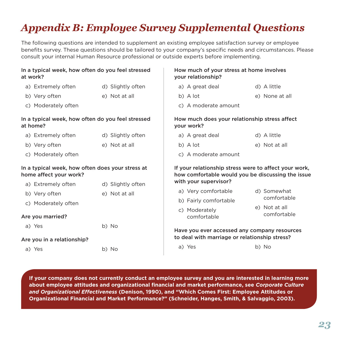# <span id="page-24-0"></span>*Appendix B: Employee Survey Supplemental Questions*

The following questions are intended to supplement an existing employee satisfaction survey or employee. benefits survey. These questions should be tailored to your company's specific needs and circumstances. Please consult your internal Human Resource professional or outside experts before implementing.

| In a typical week, how often do you feel stressed<br>at work?              |                   | How much of your stress at home involves<br>your relationship?                                             |                              |
|----------------------------------------------------------------------------|-------------------|------------------------------------------------------------------------------------------------------------|------------------------------|
| a) Extremely often                                                         | d) Slightly often | a) A great deal                                                                                            | d) A little                  |
| b) Very often                                                              | e) Not at all     | b) A lot                                                                                                   | e) None at all               |
| c) Moderately often                                                        |                   | c) A moderate amount                                                                                       |                              |
| In a typical week, how often do you feel stressed<br>at home?              |                   | How much does your relationship stress affect<br>your work?                                                |                              |
| a) Extremely often                                                         | d) Slightly often | a) A great deal                                                                                            | d) A little                  |
| b) Very often                                                              | e) Not at all     | b) A lot                                                                                                   | e) Not at all                |
| c) Moderately often                                                        |                   | c) A moderate amount                                                                                       |                              |
| In a typical week, how often does your stress at<br>home affect your work? |                   | If your relationship stress were to affect your work,<br>how comfortable would you be discussing the issue |                              |
| a) Extremely often                                                         | d) Slightly often | with your supervisor?                                                                                      |                              |
| b) Very often                                                              | e) Not at all     | a) Very comfortable                                                                                        | d) Somewhat<br>comfortable   |
| c) Moderately often                                                        |                   | b) Fairly comfortable                                                                                      |                              |
| Are you married?                                                           |                   | c) Moderately<br>comfortable                                                                               | e) Not at all<br>comfortable |
| a) Yes                                                                     | b) No             | Have you ever accessed any company resources                                                               |                              |
| Are you in a relationship?                                                 |                   | to deal with marriage or relationship stress?                                                              |                              |
| a) Yes                                                                     | b) No             | a) Yes                                                                                                     | b) No                        |

**If your company does not currently conduct an employee survey and you are interested in learning more about employee attitudes and organizational financial and market performance, see** *Corporate Culture and Organizational Effectiveness* **(Denison, 1990), and "Which Comes First: Employee Attitudes or Organizational Financial and Market Performance?" (Schneider, Hanges, Smith, & Salvaggio, 2003).**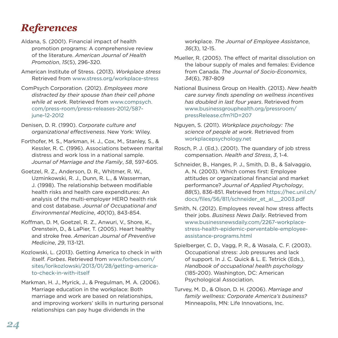# *References*

- Aldana, S. (2001). Financial impact of health. promotion programs: A comprehensive review. of.the.literature ..*American Journal of Health Promotion, 15*(5), 296-320.
- American Institute of Stress. (2013). Workplace stress. Retrieved from www.stress.org/workplace-stress
- ComPsych Corporation. (2012). *Employees more distracted by their spouse than their cell phone while at work*. Retrieved from www.compsych. com/press-room/press-releases-2012/587 june-12-2012
- Denisen, D. R. (1990). Corporate culture and organizational effectiveness. New York: Wiley.
- Forthofer, M. S., Markman, H. J., Cox, M., Stanley, S., & Kessler, R. C. (1996). Associations between marital. distress and work loss in a national sample. Journal of Marriage and the Family, 58, 597-605.
- Goetzel, R. Z., Anderson, D. R., Whitmer, R. W., Uzminkowski, R. J., Dunn, R. L., & Wasserman, J. (1998). The relationship between modifiable. health risks and health care expenditures: An. analysis of the multi-employer HERO health risk. and.cost.database ..*Journal of Occupational and Environmental Medicine*,.*40*(10),.843-854 .
- Koffman, D. M, Goetzel, R. Z., Anwuri, V., Shore, K., Orenstein, D., & LaPier, T. (2005). Heart healthy and.stroke.free ..*American Journal of Preventive Medicine*,.*29*,.113-121 .
- Kozlowski, L. (2013). Getting America to check in with itself. Forbes. Retrieved from www.forbes.com/ sites/lorikozlowski/2013/01/28/getting-americato-check-in-with-itself
- Markman, H. J., Myrick, J., & Pregulman, M. A. (2006). Marriage education in the workplace: Both. marriage and work are based on relationships, and improving workers' skills in nurturing personal. relationships can pay huge dividends in the.

workplace. The Journal of Employee Assistance, *36*(3),.12-15 .

- Mueller, R. (2005). The effect of marital dissolution on. the labour supply of males and females: Evidence. from.Canada ..*The Journal of Socio-Economics*,. *34*(6),.787-809
- National.Business.Group.on.Health ..(2013) ..*New health care survey finds spending on wellness incentives*  has doubled in last four years. Retrieved from. [www .businessgrouphealth .org/pressroom/](http://www.businessgrouphealth.org/pressroom/pressRelease.cfm?ID=207) pressRelease .cfm?ID=207
- Nguyen, S. (2011). Workplace psychology: The science of people at work. Retrieved from. workplacepsychology.net
- Rosch, P. J. (Ed.). (2001). The quandary of job stress. compensation. Health and Stress, 3, 1-4.
- Schneider, B., Hanges, P. J., Smith, D. B., & Salvaggio, A. N. (2003). Which comes first: Employee attitudes or organizational financial and market. performance?.*Journal of Applied Psychology*,. 88(5), 836-851. Retrieved from https://hec.unil.ch/ docs/files/56/811/schneider\_et\_al .\_\_2003 .pdf
- Smith, N. (2012). Employees reveal how stress affects. their jobs. *Business News Daily*. Retrieved from. www .businessnewsdaily .com/2267-workplace[stress-health-epidemic-perventable-employee](http://www.businessnewsdaily.com/2267-workplace-stress-health-epidemic-perventable-employee-assistance-programs.html)assistance-programs .html
- Spielberger, C. D., Vagg, P. R., & Wasala, C. F. (2003). Occupational stress: Job pressures and lack. of support. In J. C. Quick & L. E. Tetrick (Eds.), *Handbook of occupational health psychology*. (185-200). Washington, DC: American. Psychological Association.
- Turvey, M. D., & Olson, D. H. (2006). Marriage and *family wellness: Corporate America's business?*. Minneapolis, MN: Life Innovations, Inc.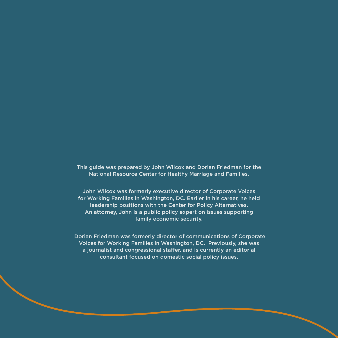This guide was prepared by John Wilcox and Dorian Friedman for the National Resource Center for Healthy Marriage and Families.

John Wilcox was formerly executive director of Corporate Voices for Working Families in Washington, DC. Earlier in his career, he held leadership positions with the Center for Policy Alternatives. An attorney, John is a public policy expert on issues supporting family economic security.

 Dorian Friedman was formerly director of communications of Corporate Voices for Working Families in Washington, DC. Previously, she was a journalist and congressional staffer, and is currently an editorial consultant focused on domestic social policy issues.